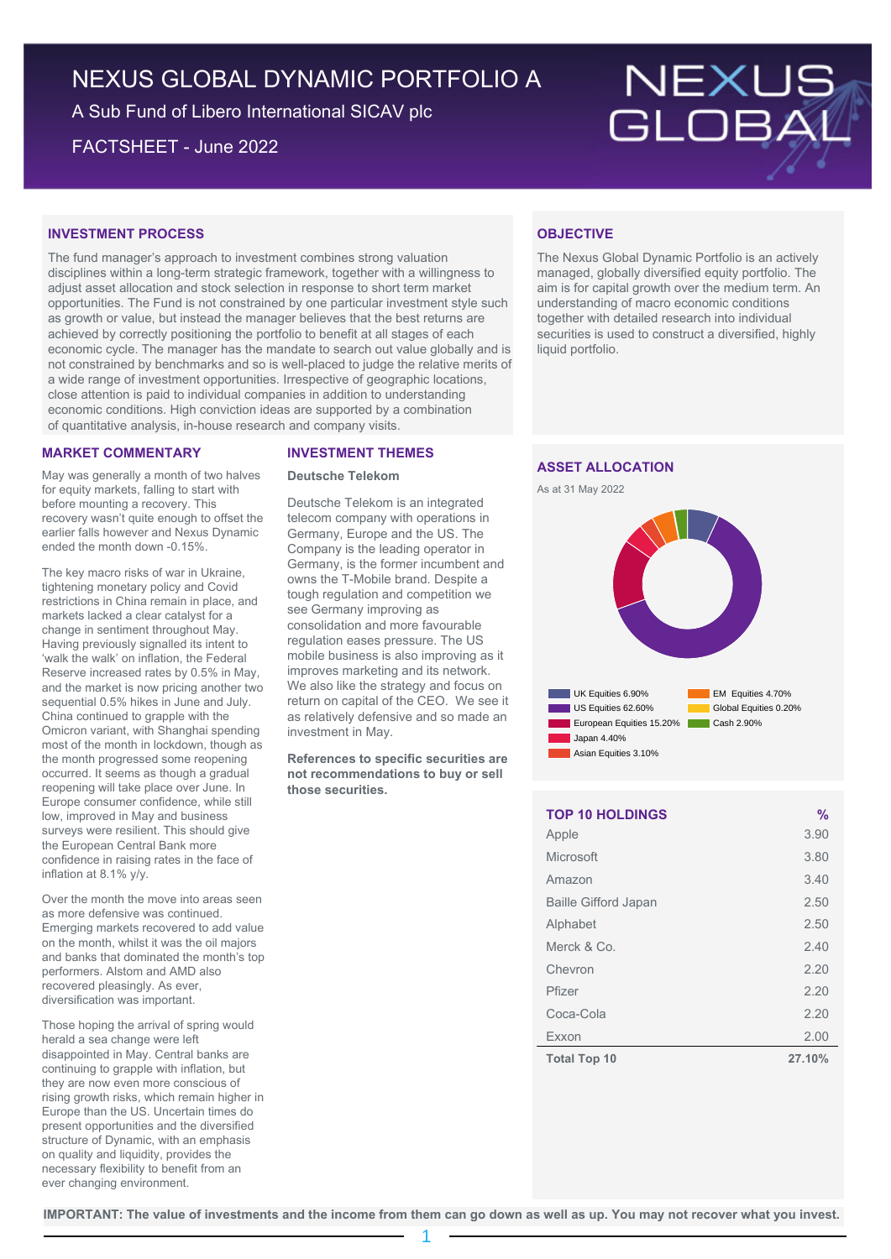# NEXUS GLOBAL DYNAMIC PORTFOLIO A

A Sub Fund of Libero International SICAV plc

FACTSHEET - June 2022

# NEXUS<br>GLOBAL

# **INVESTMENT PROCESS**

The fund manager's approach to investment combines strong valuation disciplines within a long-term strategic framework, together with a willingness to adjust asset allocation and stock selection in response to short term market opportunities. The Fund is not constrained by one particular investment style such as growth or value, but instead the manager believes that the best returns are achieved by correctly positioning the portfolio to benefit at all stages of each economic cycle. The manager has the mandate to search out value globally and is not constrained by benchmarks and so is well-placed to judge the relative merits of a wide range of investment opportunities. Irrespective of geographic locations, close attention is paid to individual companies in addition to understanding economic conditions. High conviction ideas are supported by a combination of quantitative analysis, in-house research and company visits.

# **MARKET COMMENTARY**

May was generally a month of two halves for equity markets, falling to start with before mounting a recovery. This recovery wasn't quite enough to offset the earlier falls however and Nexus Dynamic ended the month down -0.15%.

The key macro risks of war in Ukraine, tightening monetary policy and Covid restrictions in China remain in place, and markets lacked a clear catalyst for a change in sentiment throughout May. Having previously signalled its intent to 'walk the walk' on inflation, the Federal Reserve increased rates by 0.5% in May, and the market is now pricing another two sequential 0.5% hikes in June and July. China continued to grapple with the Omicron variant, with Shanghai spending most of the month in lockdown, though as the month progressed some reopening occurred. It seems as though a gradual reopening will take place over June. In Europe consumer confidence, while still low, improved in May and business surveys were resilient. This should give the European Central Bank more confidence in raising rates in the face of inflation at 8.1% y/y.

Over the month the move into areas seen as more defensive was continued. Emerging markets recovered to add value on the month, whilst it was the oil majors and banks that dominated the month's top performers. Alstom and AMD also recovered pleasingly. As ever, diversification was important.

Those hoping the arrival of spring would herald a sea change were left disappointed in May. Central banks are continuing to grapple with inflation, but they are now even more conscious of rising growth risks, which remain higher in Europe than the US. Uncertain times do present opportunities and the diversified structure of Dynamic, with an emphasis on quality and liquidity, provides the necessary flexibility to benefit from an ever changing environment.

# **INVESTMENT THEMES**

# **Deutsche Telekom**

Deutsche Telekom is an integrated telecom company with operations in Germany, Europe and the US. The Company is the leading operator in Germany, is the former incumbent and owns the T-Mobile brand. Despite a tough regulation and competition we see Germany improving as consolidation and more favourable regulation eases pressure. The US mobile business is also improving as it improves marketing and its network. We also like the strategy and focus on return on capital of the CEO. We see it as relatively defensive and so made an investment in May.

**References to specific securities are not recommendations to buy or sell those securities.**

# **OBJECTIVE**

The Nexus Global Dynamic Portfolio is an actively managed, globally diversified equity portfolio. The aim is for capital growth over the medium term. An understanding of macro economic conditions together with detailed research into individual securities is used to construct a diversified, highly liquid portfolio.

# **ASSET ALLOCATION**





| <b>TOP 10 HOLDINGS</b>      | %      |
|-----------------------------|--------|
| Apple                       | 3.90   |
| Microsoft                   | 3.80   |
| Amazon                      | 3.40   |
| <b>Baille Gifford Japan</b> | 2.50   |
| Alphabet                    | 2.50   |
| Merck & Co.                 | 2.40   |
| Chevron                     | 2.20   |
| Pfizer                      | 2.20   |
| Coca-Cola                   | 2.20   |
| Exxon                       | 2.00   |
| <b>Total Top 10</b>         | 27.10% |

**IMPORTANT: The value of investments and the income from them can go down as well as up. You may not recover what you invest.**

1